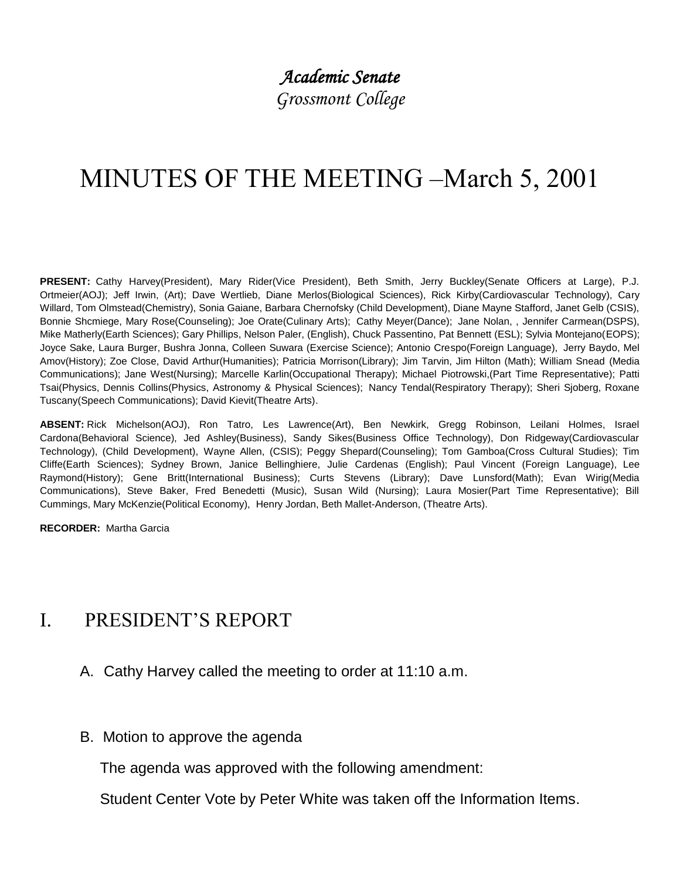## *Academic Senate*

*Grossmont College*

# MINUTES OF THE MEETING –March 5, 2001

**PRESENT:** Cathy Harvey(President), Mary Rider(Vice President), Beth Smith, Jerry Buckley(Senate Officers at Large), P.J. Ortmeier(AOJ); Jeff Irwin, (Art); Dave Wertlieb, Diane Merlos(Biological Sciences), Rick Kirby(Cardiovascular Technology), Cary Willard, Tom Olmstead(Chemistry), Sonia Gaiane, Barbara Chernofsky (Child Development), Diane Mayne Stafford, Janet Gelb (CSIS), Bonnie Shcmiege, Mary Rose(Counseling); Joe Orate(Culinary Arts); Cathy Meyer(Dance); Jane Nolan, , Jennifer Carmean(DSPS), Mike Matherly(Earth Sciences); Gary Phillips, Nelson Paler, (English), Chuck Passentino, Pat Bennett (ESL); Sylvia Montejano(EOPS); Joyce Sake, Laura Burger, Bushra Jonna, Colleen Suwara (Exercise Science); Antonio Crespo(Foreign Language), Jerry Baydo, Mel Amov(History); Zoe Close, David Arthur(Humanities); Patricia Morrison(Library); Jim Tarvin, Jim Hilton (Math); William Snead (Media Communications); Jane West(Nursing); Marcelle Karlin(Occupational Therapy); Michael Piotrowski,(Part Time Representative); Patti Tsai(Physics, Dennis Collins(Physics, Astronomy & Physical Sciences); Nancy Tendal(Respiratory Therapy); Sheri Sjoberg, Roxane Tuscany(Speech Communications); David Kievit(Theatre Arts).

**ABSENT:** Rick Michelson(AOJ), Ron Tatro, Les Lawrence(Art), Ben Newkirk, Gregg Robinson, Leilani Holmes, Israel Cardona(Behavioral Science), Jed Ashley(Business), Sandy Sikes(Business Office Technology), Don Ridgeway(Cardiovascular Technology), (Child Development), Wayne Allen, (CSIS); Peggy Shepard(Counseling); Tom Gamboa(Cross Cultural Studies); Tim Cliffe(Earth Sciences); Sydney Brown, Janice Bellinghiere, Julie Cardenas (English); Paul Vincent (Foreign Language), Lee Raymond(History); Gene Britt(International Business); Curts Stevens (Library); Dave Lunsford(Math); Evan Wirig(Media Communications), Steve Baker, Fred Benedetti (Music), Susan Wild (Nursing); Laura Mosier(Part Time Representative); Bill Cummings, Mary McKenzie(Political Economy), Henry Jordan, Beth Mallet-Anderson, (Theatre Arts).

**RECORDER:** Martha Garcia

### I. PRESIDENT'S REPORT

- A. Cathy Harvey called the meeting to order at 11:10 a.m.
- B. Motion to approve the agenda

The agenda was approved with the following amendment:

Student Center Vote by Peter White was taken off the Information Items.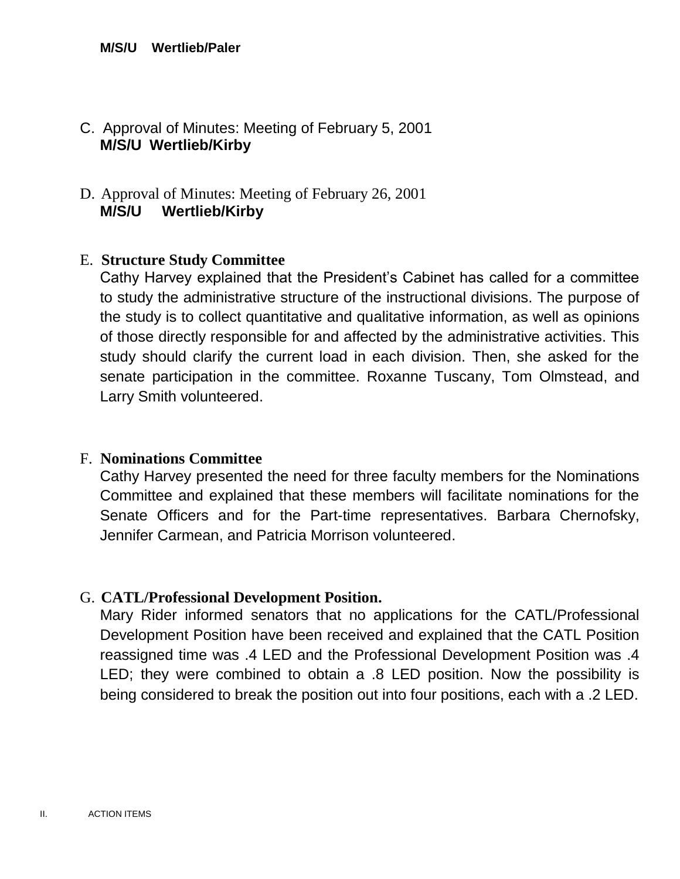#### C. Approval of Minutes: Meeting of February 5, 2001 **M/S/U Wertlieb/Kirby**

#### D. Approval of Minutes: Meeting of February 26, 2001 **M/S/U Wertlieb/Kirby**

#### E. **Structure Study Committee**

Cathy Harvey explained that the President's Cabinet has called for a committee to study the administrative structure of the instructional divisions. The purpose of the study is to collect quantitative and qualitative information, as well as opinions of those directly responsible for and affected by the administrative activities. This study should clarify the current load in each division. Then, she asked for the senate participation in the committee. Roxanne Tuscany, Tom Olmstead, and Larry Smith volunteered.

#### F. **Nominations Committee**

Cathy Harvey presented the need for three faculty members for the Nominations Committee and explained that these members will facilitate nominations for the Senate Officers and for the Part-time representatives. Barbara Chernofsky, Jennifer Carmean, and Patricia Morrison volunteered.

#### G. **CATL/Professional Development Position.**

Mary Rider informed senators that no applications for the CATL/Professional Development Position have been received and explained that the CATL Position reassigned time was .4 LED and the Professional Development Position was .4 LED; they were combined to obtain a .8 LED position. Now the possibility is being considered to break the position out into four positions, each with a .2 LED.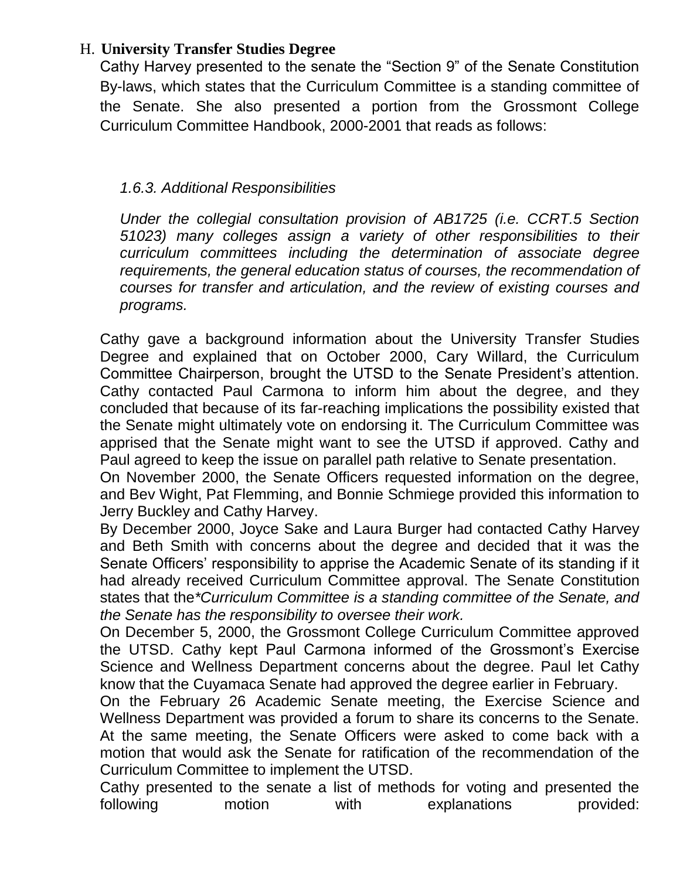#### H. **University Transfer Studies Degree**

Cathy Harvey presented to the senate the "Section 9" of the Senate Constitution By-laws, which states that the Curriculum Committee is a standing committee of the Senate. She also presented a portion from the Grossmont College Curriculum Committee Handbook, 2000-2001 that reads as follows:

#### *1.6.3. Additional Responsibilities*

*Under the collegial consultation provision of AB1725 (i.e. CCRT.5 Section 51023) many colleges assign a variety of other responsibilities to their curriculum committees including the determination of associate degree requirements, the general education status of courses, the recommendation of courses for transfer and articulation, and the review of existing courses and programs.*

Cathy gave a background information about the University Transfer Studies Degree and explained that on October 2000, Cary Willard, the Curriculum Committee Chairperson, brought the UTSD to the Senate President's attention. Cathy contacted Paul Carmona to inform him about the degree, and they concluded that because of its far-reaching implications the possibility existed that the Senate might ultimately vote on endorsing it. The Curriculum Committee was apprised that the Senate might want to see the UTSD if approved. Cathy and Paul agreed to keep the issue on parallel path relative to Senate presentation.

On November 2000, the Senate Officers requested information on the degree, and Bev Wight, Pat Flemming, and Bonnie Schmiege provided this information to Jerry Buckley and Cathy Harvey.

By December 2000, Joyce Sake and Laura Burger had contacted Cathy Harvey and Beth Smith with concerns about the degree and decided that it was the Senate Officers' responsibility to apprise the Academic Senate of its standing if it had already received Curriculum Committee approval. The Senate Constitution states that the*\*Curriculum Committee is a standing committee of the Senate, and the Senate has the responsibility to oversee their work.*

On December 5, 2000, the Grossmont College Curriculum Committee approved the UTSD. Cathy kept Paul Carmona informed of the Grossmont's Exercise Science and Wellness Department concerns about the degree. Paul let Cathy know that the Cuyamaca Senate had approved the degree earlier in February.

On the February 26 Academic Senate meeting, the Exercise Science and Wellness Department was provided a forum to share its concerns to the Senate. At the same meeting, the Senate Officers were asked to come back with a motion that would ask the Senate for ratification of the recommendation of the Curriculum Committee to implement the UTSD.

Cathy presented to the senate a list of methods for voting and presented the following motion with explanations provided: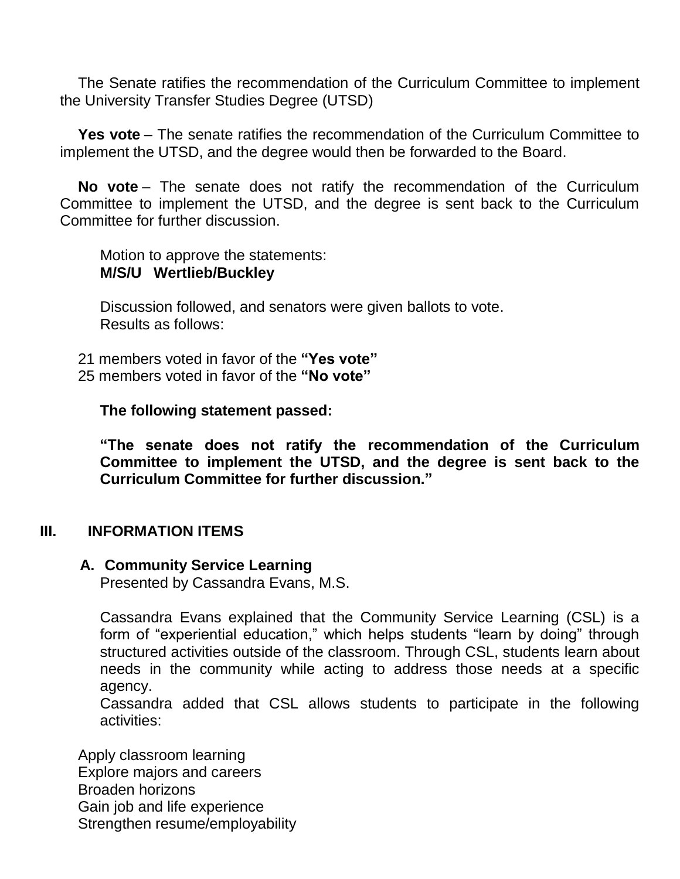The Senate ratifies the recommendation of the Curriculum Committee to implement the University Transfer Studies Degree (UTSD)

**Yes vote** – The senate ratifies the recommendation of the Curriculum Committee to implement the UTSD, and the degree would then be forwarded to the Board.

**No vote** – The senate does not ratify the recommendation of the Curriculum Committee to implement the UTSD, and the degree is sent back to the Curriculum Committee for further discussion.

Motion to approve the statements: **M/S/U Wertlieb/Buckley**

Discussion followed, and senators were given ballots to vote. Results as follows:

21 members voted in favor of the **"Yes vote"** 25 members voted in favor of the **"No vote"**

**The following statement passed:**

**"The senate does not ratify the recommendation of the Curriculum Committee to implement the UTSD, and the degree is sent back to the Curriculum Committee for further discussion."**

#### **III. INFORMATION ITEMS**

#### **A. Community Service Learning**

Presented by Cassandra Evans, M.S.

Cassandra Evans explained that the Community Service Learning (CSL) is a form of "experiential education," which helps students "learn by doing" through structured activities outside of the classroom. Through CSL, students learn about needs in the community while acting to address those needs at a specific agency.

Cassandra added that CSL allows students to participate in the following activities:

Apply classroom learning Explore majors and careers Broaden horizons Gain job and life experience Strengthen resume/employability